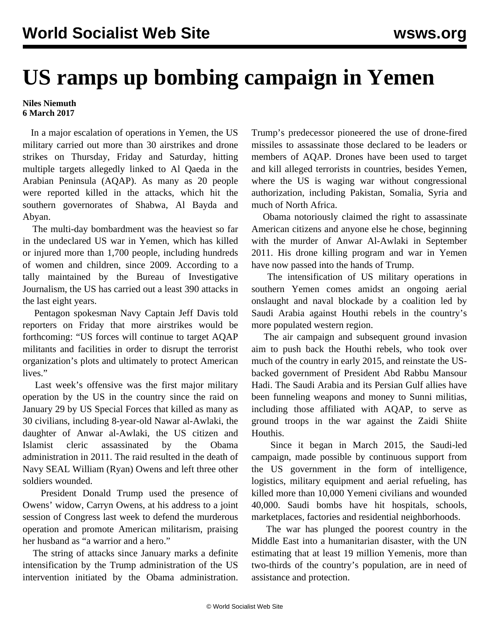## **US ramps up bombing campaign in Yemen**

## **Niles Niemuth 6 March 2017**

 In a major escalation of operations in Yemen, the US military carried out more than 30 airstrikes and drone strikes on Thursday, Friday and Saturday, hitting multiple targets allegedly linked to Al Qaeda in the Arabian Peninsula (AQAP). As many as 20 people were reported killed in the attacks, which hit the southern governorates of Shabwa, Al Bayda and Abyan.

 The multi-day bombardment was the heaviest so far in the undeclared US war in Yemen, which has killed or injured more than 1,700 people, including hundreds of women and children, since 2009. According to a tally maintained by the Bureau of Investigative Journalism, the US has carried out a least 390 attacks in the last eight years.

 Pentagon spokesman Navy Captain Jeff Davis told reporters on Friday that more airstrikes would be forthcoming: "US forces will continue to target AQAP militants and facilities in order to disrupt the terrorist organization's plots and ultimately to protect American lives."

 Last week's offensive was the first major military operation by the US in the country since the raid on January 29 by US Special Forces that killed as many as 30 civilians, including 8-year-old Nawar al-Awlaki, the daughter of Anwar al-Awlaki, the US citizen and Islamist cleric assassinated by the Obama administration in 2011. The raid resulted in the death of Navy SEAL William (Ryan) Owens and left three other soldiers wounded.

 President Donald Trump used the presence of Owens' widow, Carryn Owens, at his address to a joint session of Congress last week to defend the murderous operation and promote American militarism, praising her husband as "a warrior and a hero."

 The string of attacks since January marks a definite intensification by the Trump administration of the US intervention initiated by the Obama administration. Trump's predecessor pioneered the use of drone-fired missiles to assassinate those declared to be leaders or members of AQAP. Drones have been used to target and kill alleged terrorists in countries, besides Yemen, where the US is waging war without congressional authorization, including Pakistan, Somalia, Syria and much of North Africa.

 Obama notoriously claimed the right to assassinate American citizens and anyone else he chose, beginning with the murder of Anwar Al-Awlaki in September 2011. His drone killing program and war in Yemen have now passed into the hands of Trump.

 The intensification of US military operations in southern Yemen comes amidst an ongoing aerial onslaught and naval blockade by a coalition led by Saudi Arabia against Houthi rebels in the country's more populated western region.

 The air campaign and subsequent ground invasion aim to push back the Houthi rebels, who took over much of the country in early 2015, and reinstate the USbacked government of President Abd Rabbu Mansour Hadi. The Saudi Arabia and its Persian Gulf allies have been funneling weapons and money to Sunni militias, including those affiliated with AQAP, to serve as ground troops in the war against the Zaidi Shiite Houthis.

 Since it began in March 2015, the Saudi-led campaign, made possible by continuous support from the US government in the form of intelligence, logistics, military equipment and aerial refueling, has killed more than 10,000 Yemeni civilians and wounded 40,000. Saudi bombs have hit hospitals, schools, marketplaces, factories and residential neighborhoods.

 The war has plunged the poorest country in the Middle East into a humanitarian disaster, with the UN estimating that at least 19 million Yemenis, more than two-thirds of the country's population, are in need of assistance and protection.